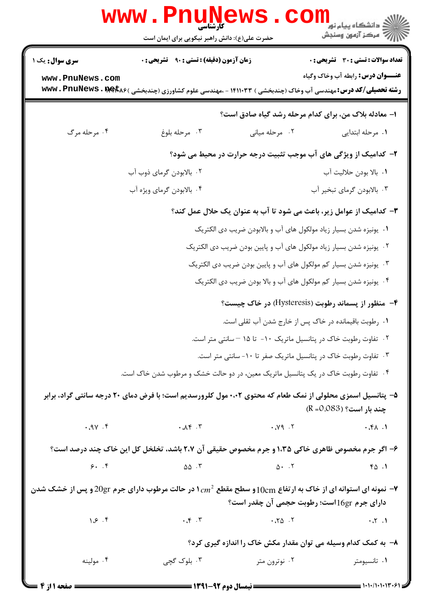|                                                                   | www.Pnul<br>حضرت علی(ع): دانش راهبر نیکویی برای ایمان است                                                                       |                                                                                                                                                                                                                                                                                                                                                               | ري دانشڪاه پيام نور <mark>−ا</mark><br>ا∛ مرکز آزمون وسنڊش          |  |  |  |
|-------------------------------------------------------------------|---------------------------------------------------------------------------------------------------------------------------------|---------------------------------------------------------------------------------------------------------------------------------------------------------------------------------------------------------------------------------------------------------------------------------------------------------------------------------------------------------------|---------------------------------------------------------------------|--|--|--|
| <b>سری سوال :</b> یک ۱                                            | <b>زمان آزمون (دقیقه) : تستی : ۹۰٪ تشریحی : 0</b>                                                                               |                                                                                                                                                                                                                                                                                                                                                               | <b>تعداد سوالات : تستی : 30 ٪ تشریحی : 0</b>                        |  |  |  |
| www.PnuNews.com                                                   | <b>رشته تحصیلی/کد درس:</b> مهندسی آب وخاک (چندبخشی ) ۱۴۱۱۰۳۳ - ،مهندسی علوم کشاورزی (چندبخشی ) <b>www . PnuNews . Bet</b> k۶    |                                                                                                                                                                                                                                                                                                                                                               | <b>عنـــوان درس:</b> رابطه آب وخاک وگیاه                            |  |  |  |
| ا- معادله بلاک من، برای کدام مرحله رشد گیاه صادق است؟             |                                                                                                                                 |                                                                                                                                                                                                                                                                                                                                                               |                                                                     |  |  |  |
| ۰۴ مرحله مرگ                                                      | ۰۳ مرحله بلوغ                                                                                                                   | ۰۲ مرحله میانی                                                                                                                                                                                                                                                                                                                                                | ٠١. مرحله ابتدايي                                                   |  |  |  |
|                                                                   |                                                                                                                                 |                                                                                                                                                                                                                                                                                                                                                               | ۲- کدامیک از ویژگی های آب موجب تثبیت درجه حرارت در محیط می شود؟     |  |  |  |
|                                                                   | ٠١. بالا بودن حلاليت آب                                                                                                         |                                                                                                                                                                                                                                                                                                                                                               |                                                                     |  |  |  |
|                                                                   | ۰۴ بالابودن گرمای ویژه آب                                                                                                       |                                                                                                                                                                                                                                                                                                                                                               | ۰۳ بالابودن گرمای تبخیر آب                                          |  |  |  |
|                                                                   | ۳- کدامیک از عوامل زیر، باعث می شود تا آب به عنوان یک حلال عمل کند؟                                                             |                                                                                                                                                                                                                                                                                                                                                               |                                                                     |  |  |  |
| ۰۱ یونیزه شدن بسیار زیاد مولکول های آب و بالابودن ضریب دی الکتریک |                                                                                                                                 |                                                                                                                                                                                                                                                                                                                                                               |                                                                     |  |  |  |
|                                                                   |                                                                                                                                 |                                                                                                                                                                                                                                                                                                                                                               | ۰۲ یونیزه شدن بسیار زیاد مولکول های آب و پایین بودن ضریب دی الکتریک |  |  |  |
|                                                                   |                                                                                                                                 |                                                                                                                                                                                                                                                                                                                                                               | ۰۳ یونیزه شدن بسیار کم مولکول های آب و پایین بودن ضریب دی الکتریک   |  |  |  |
|                                                                   |                                                                                                                                 |                                                                                                                                                                                                                                                                                                                                                               | ۰۴ یونیزه شدن بسیار کم مولکول های آب و بالا بودن ضریب دی الکتریک    |  |  |  |
|                                                                   |                                                                                                                                 |                                                                                                                                                                                                                                                                                                                                                               | ۴- منظور از پسماند رطوبت (Hysteresis) در خاک چیست؟                  |  |  |  |
|                                                                   |                                                                                                                                 |                                                                                                                                                                                                                                                                                                                                                               | ۰۱ رطوبت باقیمانده در خاک پس از خارج شدن آب ثقلی است.               |  |  |  |
|                                                                   |                                                                                                                                 |                                                                                                                                                                                                                                                                                                                                                               | ۰۲ تفاوت رطوبت خاک در پتانسیل ماتریک ۱۰- تا ۱۵ –سانتی متر است.      |  |  |  |
|                                                                   |                                                                                                                                 |                                                                                                                                                                                                                                                                                                                                                               | ۰۳ تفاوت رطوبت خاک در پتانسیل ماتریک صفر تا ۱۰- سانتی متر است.      |  |  |  |
|                                                                   | ۰۴ تفاوت رطوبت خاک در یک پتانسیل ماتریک معین، در دو حالت خشک و مرطوب شدن خاک است.                                               |                                                                                                                                                                                                                                                                                                                                                               |                                                                     |  |  |  |
|                                                                   | ۵– پتانسیل اسمزی محلولی از نمک طعام که محتوی ۰،۰۲ مول کلرورسدیم است؛ با فرض دمای ۲۰ درجه سانتی گراد، برابر                      |                                                                                                                                                                                                                                                                                                                                                               | چند بار است؟ (R =0.083)                                             |  |  |  |
|                                                                   |                                                                                                                                 |                                                                                                                                                                                                                                                                                                                                                               |                                                                     |  |  |  |
|                                                                   | ۶- اگر جرم مخصوص ظاهری خاکی ۱،۳۵ و جرم مخصوص حقیقی آن ۲،۷ باشد، تخلخل کل این خاک چند درصد است؟                                  |                                                                                                                                                                                                                                                                                                                                                               |                                                                     |  |  |  |
| 9.7                                                               | $\Delta \Delta$ .                                                                                                               | $\Delta$ + $\Delta$ + $\Delta$ + $\Delta$ + $\Delta$ + $\Delta$ + $\Delta$ + $\Delta$ + $\Delta$ + $\Delta$ + $\Delta$ + $\Delta$ + $\Delta$ + $\Delta$ + $\Delta$ + $\Delta$ + $\Delta$ + $\Delta$ + $\Delta$ + $\Delta$ + $\Delta$ + $\Delta$ + $\Delta$ + $\Delta$ + $\Delta$ + $\Delta$ + $\Delta$ + $\Delta$ + $\Delta$ + $\Delta$ + $\Delta$ + $\Delta$ | 40.1                                                                |  |  |  |
|                                                                   | خا نمونه ای استوانه ای از خاک به ارتفاع $10_{\rm cm}$ و سطح مقطع $c m^2$ در حالت مرطوب دارای جرم $20$ و پس از خشک شدن $\bullet$ |                                                                                                                                                                                                                                                                                                                                                               |                                                                     |  |  |  |
|                                                                   |                                                                                                                                 |                                                                                                                                                                                                                                                                                                                                                               | دارای جرم 16grاست؛ رطوبت حجمی آن چقدر است؟                          |  |  |  |
| $\gamma$ . $\varphi$ . ۴                                          | $\cdot \cdot$ $\cdot$ $\cdot$ $\cdot$                                                                                           |                                                                                                                                                                                                                                                                                                                                                               |                                                                     |  |  |  |
|                                                                   |                                                                                                                                 |                                                                                                                                                                                                                                                                                                                                                               | ۸– به کمک کدام وسیله می توان مقدار مکش خاک را اندازه گیری کرد؟      |  |  |  |
| ۰۴ مولینه                                                         | ۰۳ بلوک گچی                                                                                                                     | ۰۲ نوترون متر                                                                                                                                                                                                                                                                                                                                                 | ۰۱ تانسیومتر                                                        |  |  |  |
| $=$ 6 and $\sim$ in the state $\sim$                              |                                                                                                                                 |                                                                                                                                                                                                                                                                                                                                                               |                                                                     |  |  |  |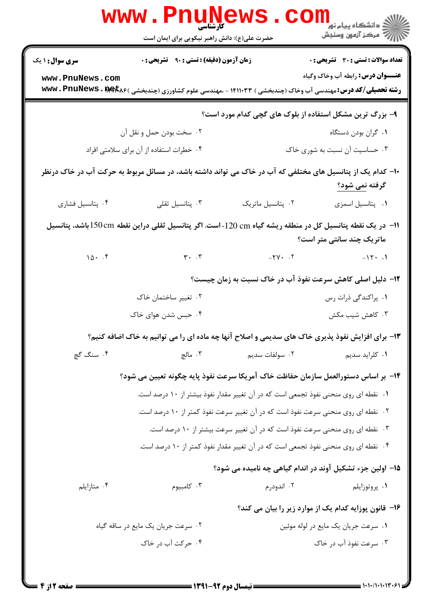|                                                                                                                                        | <b>WWW.FUUNE</b><br>کارشناسی<br>حضرت علی(ع): دانش راهبر نیکویی برای ایمان است                              |                                                                                     | ري دانشگاه پيام نور <mark>− ا</mark><br>ا <mark>∛</mark> مرکز آزمون وسنجش                                                                                            |  |
|----------------------------------------------------------------------------------------------------------------------------------------|------------------------------------------------------------------------------------------------------------|-------------------------------------------------------------------------------------|----------------------------------------------------------------------------------------------------------------------------------------------------------------------|--|
| <b>سری سوال : ۱ یک</b>                                                                                                                 | <b>زمان آزمون (دقیقه) : تستی : ۹۰٪ تشریحی : 0</b>                                                          |                                                                                     | <b>تعداد سوالات : تستی : 30 ٪ تشریحی : 0</b>                                                                                                                         |  |
| www.PnuNews.com                                                                                                                        |                                                                                                            |                                                                                     | <b>عنــوان درس:</b> رابطه آب وخاک وگیاه<br><b>رشته تحصیلی/کد درس:</b> مهندسی آب وخاک (چندبخشی ) ۱۴۱۱۰۳۳ - ،مهندسی علوم کشاورزی (چندبخشی ) <b>www . PnuNews . met</b> |  |
|                                                                                                                                        |                                                                                                            |                                                                                     | ۹- بزرگ ترین مشکل استفاده از بلوک های گچی کدام مورد است؟                                                                                                             |  |
|                                                                                                                                        | ۰۲ سخت بودن حمل و نقل آن                                                                                   |                                                                                     | ۰۱ گران بودن دستگاه                                                                                                                                                  |  |
| ۰۴ خطرات استفاده از آن برای سلامتی افراد                                                                                               |                                                                                                            |                                                                                     | ۰۳ حساسیت آن نسبت به شوری خاک                                                                                                                                        |  |
|                                                                                                                                        | +۱- کدام یک از پتانسیل های مختلفی که آب در خاک می تواند داشته باشد، در مسائل مربوط به حرکت آب در خاک درنظر |                                                                                     | گرفته <u>ن</u> می شود؟                                                                                                                                               |  |
| ۰۴ پتانسیل فشاری                                                                                                                       | ۰۳ پتانسیل ثقلی                                                                                            | ٠٢ پتانسيل ماتريک                                                                   | ٠١. پتانسيل اسمزى                                                                                                                                                    |  |
| ۱۱−  در یک نقطه پتانسیل کل در منطقه ریشه گیاه cm 120−1ست. اگر پتانسیل ثقلی دراین نقطه 150cm باشد، پتانسیل<br>ماتریک چند سانتی متر است؟ |                                                                                                            |                                                                                     |                                                                                                                                                                      |  |
| $10 - .9$                                                                                                                              | $\mathbf{r}$ . $\mathbf{r}$                                                                                | $-YV \cdot \cdot Y$                                                                 | $-15. .1$                                                                                                                                                            |  |
|                                                                                                                                        |                                                                                                            |                                                                                     | ۱۲- دلیل اصلی کاهش سرعت نفوذ آب در خاک نسبت به زمان چیست؟                                                                                                            |  |
|                                                                                                                                        | ۰۲ تغییر ساختمان خاک                                                                                       |                                                                                     | ۰۱. پراکندگی ذرات رس                                                                                                                                                 |  |
|                                                                                                                                        | ۰۴ حبس شدن هوای خاک                                                                                        |                                                                                     | ۰۳ کاهش شیب مکش                                                                                                                                                      |  |
|                                                                                                                                        |                                                                                                            |                                                                                     | ۱۳- برای افزایش نفوذ پذیری خاک های سدیمی و اصلاح آنها چه ماده ای را می توانیم به خاک اضافه کنیم؟                                                                     |  |
| ۰۴ سنگ گچ                                                                                                                              | ۰۳ مالچ                                                                                                    | ۰۲ سولفات سديم                                                                      | ۰۱ کلراید سدیم                                                                                                                                                       |  |
|                                                                                                                                        |                                                                                                            |                                                                                     | ۱۴– بر اساس دستورالعمل سازمان حفاظت خاک آمریکا سرعت نفوذ پایه چگونه تعیین می شود؟                                                                                    |  |
|                                                                                                                                        |                                                                                                            | ٠١ نقطه اي روى منحنى نفوذ تجمعي است كه در آن تغيير مقدار نفوذ بيشتر از ١٠ درصد است. |                                                                                                                                                                      |  |
|                                                                                                                                        |                                                                                                            | ۰۲ نقطه ای روی منحنی سرعت نفوذ است که در آن تغییر سرعت نفوذ کمتر از ۱۰ درصد است.    |                                                                                                                                                                      |  |
|                                                                                                                                        |                                                                                                            | ۰۳ نقطه ای روی منحنی سرعت نفوذ است که در آن تغییر سرعت بیشتر از ۱۰ درصد است.        |                                                                                                                                                                      |  |
|                                                                                                                                        |                                                                                                            | ۰۴ نقطه ای روی منحنی نفوذ تجمعی است که در آن تغییر مقدار نفوذ کمتر از ۱۰ درصد است.  |                                                                                                                                                                      |  |
|                                                                                                                                        |                                                                                                            |                                                                                     | ۱۵– اولین جزء تشکیل آوند در اندام گیاهی چه نامیده می شود؟                                                                                                            |  |
| ۰۴ متازايلم                                                                                                                            | ۰۳ کامبیوم                                                                                                 | ۰۲ اندودرم                                                                          | ۰۱ پروتوزايلم                                                                                                                                                        |  |
|                                                                                                                                        |                                                                                                            |                                                                                     | ۱۶– قانون پوزایه کدام یک از موارد زیر را بیان می کند؟                                                                                                                |  |
|                                                                                                                                        | ۰۲ سرعت جریان یک مایع در ساقه گیاه                                                                         |                                                                                     | ۰۱ سرعت جریان یک مایع در لوله موئین                                                                                                                                  |  |
|                                                                                                                                        | ۰۴ حرکت آب در خاک                                                                                          |                                                                                     | ۰۳ سرعت نفوذ آب در خاک                                                                                                                                               |  |
|                                                                                                                                        |                                                                                                            |                                                                                     |                                                                                                                                                                      |  |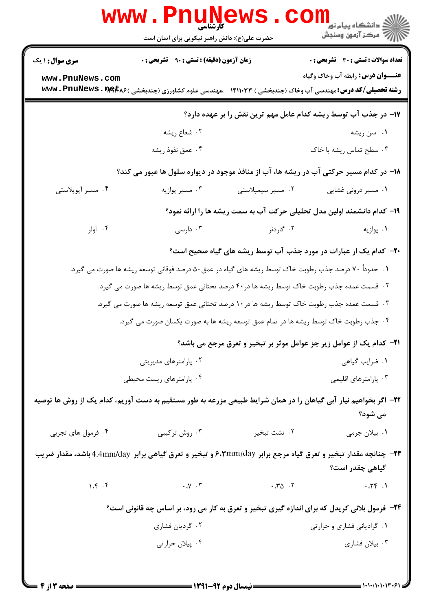|                                                                                                                                          | WWW.Pnung<br>حضرت علی(ع): دانش راهبر نیکویی برای ایمان است                                          |                                                   | الاد دانشگاه پيام نور<br> <br>  پ                                                                                                                                        |  |  |
|------------------------------------------------------------------------------------------------------------------------------------------|-----------------------------------------------------------------------------------------------------|---------------------------------------------------|--------------------------------------------------------------------------------------------------------------------------------------------------------------------------|--|--|
| <b>سری سوال : ۱ یک</b>                                                                                                                   | <b>زمان آزمون (دقیقه) : تستی : ۹۰ تشریحی : 0</b>                                                    |                                                   | <b>تعداد سوالات : تستی : 30 ٪ تشریحی : 0</b>                                                                                                                             |  |  |
| www.PnuNews.com                                                                                                                          |                                                                                                     |                                                   | <b>عنـــوان درس:</b> رابطه آب وخاک وگیاه<br><b>رشته تحصیلی/کد درس:</b> مهندسی آب وخاک (چندبخشی ) ۱۴۱۱۰۳۳ - ،مهندسی علوم کشاورزی (چندبخشی ) <b>bww . PnuNews . Bet</b> k۶ |  |  |
| ۱۷– در جذب آب توسط ریشه کدام عامل مهم ترین نقش را بر عهده دارد؟                                                                          |                                                                                                     |                                                   |                                                                                                                                                                          |  |  |
|                                                                                                                                          | ۰۲ شعاع ريشه                                                                                        |                                                   | ۰۱ سن ريشه                                                                                                                                                               |  |  |
|                                                                                                                                          | ۰۴ عمق نفوذ ريشه                                                                                    |                                                   | ۰۳ سطح تماس ریشه با خاک                                                                                                                                                  |  |  |
|                                                                                                                                          |                                                                                                     |                                                   | ۱۸– در کدام مسیر حرکتی آب در ریشه ها، آب از منافذ موجود در دیواره سلول ها عبور می کند؟                                                                                   |  |  |
| ۰۴ مسیر آپوپلاستی                                                                                                                        | ۰۳ مسیر پوازیه                                                                                      | ۰۲ مسیر سیمپلاستی                                 | ۰۱ مسیر درونی غشایی                                                                                                                                                      |  |  |
| ۱۹- کدام دانشمند اولین مدل تحلیلی حرکت آب به سمت ریشه ها را ارائه نمود؟                                                                  |                                                                                                     |                                                   |                                                                                                                                                                          |  |  |
| ۰۴ اولر                                                                                                                                  | ۰۳ دارسی                                                                                            | ۰۲ گاردنر                                         | ۰۱ پوازیه                                                                                                                                                                |  |  |
|                                                                                                                                          |                                                                                                     |                                                   | ۲۰- کدام یک از عبارات در مورد جذب آب توسط ریشه های گیاه صحیح است؟                                                                                                        |  |  |
|                                                                                                                                          | ۰۱ حدوداً ۷۰ درصد جذب رطوبت خاک توسط ریشه های گیاه در عمق۵۰ درصد فوقانی توسعه ریشه ها صورت می گیرد. |                                                   |                                                                                                                                                                          |  |  |
|                                                                                                                                          | ۰۲ قسمت عمده جذب رطوبت خاک توسط ریشه ها در ۴۰ درصد تحتانی عمق توسط ریشه ها صورت می گیرد.            |                                                   |                                                                                                                                                                          |  |  |
|                                                                                                                                          | ۰۳ قسمت عمده جذب رطوبت خاک توسط ریشه ها در ۱۰ درصد تحتانی عمق توسعه ریشه ها صورت می گیرد.           |                                                   |                                                                                                                                                                          |  |  |
|                                                                                                                                          | ۰۴ جذب رطوبت خاک توسط ریشه ها در تمام عمق توسعه ریشه ها به صورت یکسان صورت می گیرد.                 |                                                   |                                                                                                                                                                          |  |  |
|                                                                                                                                          |                                                                                                     |                                                   | <b>۲۱</b> - کدام یک از عوامل زیر جز عوامل موثر بر تبخیر و تعرق مرجع می باشد؟                                                                                             |  |  |
| ۰۲ پارامترهای مدیریتی                                                                                                                    |                                                                                                     |                                                   | ٠١ ضرايب گياهي                                                                                                                                                           |  |  |
| ۰۴ پارامترهای زیست محیطی                                                                                                                 |                                                                                                     |                                                   | ۰۳ پارامترهای اقلیمی                                                                                                                                                     |  |  |
|                                                                                                                                          |                                                                                                     |                                                   | ۲۲– اگر بخواهیم نیاز آبی گیاهان را در همان شرایط طبیعی مزرعه به طور مستقیم به دست آوریم، کدام یک از روش ها توصیه<br>می شود؟                                              |  |  |
| ۰۴ فرمول های تجربی                                                                                                                       | ۰۳ روش ترکیبی                                                                                       | ۰۲ تشت تبخیر                                      | ٠١. بيلان جرمي                                                                                                                                                           |  |  |
| <b>۲۳</b> - چنانچه مقدار تبخیر و تعرق گیاه مرجع برابر ۶،۳mm/day و تبخیر و تعرق گیاهی برابر 4.4mm/day باشد، مقدار ضریب<br>گیاهی چقدر است؟ |                                                                                                     |                                                   |                                                                                                                                                                          |  |  |
| 1.5.1                                                                                                                                    | $\cdot \vee \cdot \mathsf{y}$                                                                       | $\cdot$ . $\uparrow \circ$ $\cdot$ $\uparrow$     | .77.1                                                                                                                                                                    |  |  |
|                                                                                                                                          |                                                                                                     |                                                   | ۲۴- فرمول بلانی کریدل که برای اندازه گیری تبخیر و تعرق به کار می رود، بر اساس چه قانونی است؟                                                                             |  |  |
|                                                                                                                                          | ۰۲ گردیان فشاری                                                                                     |                                                   | ۰۱ گرادیانی فشاری و حرارتی                                                                                                                                               |  |  |
|                                                                                                                                          | ۰۴ پیلان حرارتی                                                                                     |                                                   | ۰۳ بیلان فشاری                                                                                                                                                           |  |  |
|                                                                                                                                          |                                                                                                     | <b>ــــــــ ن</b> رمسال دوم ۹۲-۱۳۹۱ <b>ــــــ</b> |                                                                                                                                                                          |  |  |